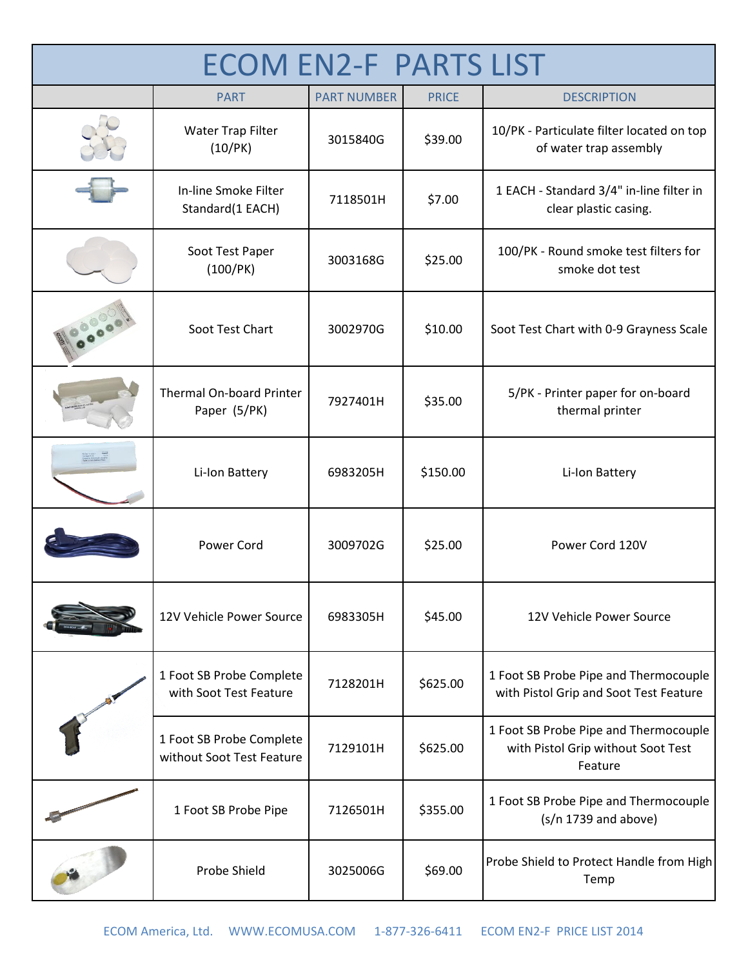| <b>ECOM EN2-F PARTS LIST</b> |                                                       |                    |              |                                                                                        |
|------------------------------|-------------------------------------------------------|--------------------|--------------|----------------------------------------------------------------------------------------|
|                              | <b>PART</b>                                           | <b>PART NUMBER</b> | <b>PRICE</b> | <b>DESCRIPTION</b>                                                                     |
|                              | Water Trap Filter<br>(10/PK)                          | 3015840G           | \$39.00      | 10/PK - Particulate filter located on top<br>of water trap assembly                    |
|                              | In-line Smoke Filter<br>Standard(1 EACH)              | 7118501H           | \$7.00       | 1 EACH - Standard 3/4" in-line filter in<br>clear plastic casing.                      |
|                              | Soot Test Paper<br>(100/PK)                           | 3003168G           | \$25.00      | 100/PK - Round smoke test filters for<br>smoke dot test                                |
|                              | Soot Test Chart                                       | 3002970G           | \$10.00      | Soot Test Chart with 0-9 Grayness Scale                                                |
|                              | <b>Thermal On-board Printer</b><br>Paper (5/PK)       | 7927401H           | \$35.00      | 5/PK - Printer paper for on-board<br>thermal printer                                   |
|                              | Li-Ion Battery                                        | 6983205H           | \$150.00     | Li-Ion Battery                                                                         |
|                              | Power Cord                                            | 3009702G           | \$25.00      | Power Cord 120V                                                                        |
|                              | 12V Vehicle Power Source                              | 6983305H           | \$45.00      | 12V Vehicle Power Source                                                               |
|                              | 1 Foot SB Probe Complete<br>with Soot Test Feature    | 7128201H           | \$625.00     | 1 Foot SB Probe Pipe and Thermocouple<br>with Pistol Grip and Soot Test Feature        |
|                              | 1 Foot SB Probe Complete<br>without Soot Test Feature | 7129101H           | \$625.00     | 1 Foot SB Probe Pipe and Thermocouple<br>with Pistol Grip without Soot Test<br>Feature |
|                              | 1 Foot SB Probe Pipe                                  | 7126501H           | \$355.00     | 1 Foot SB Probe Pipe and Thermocouple<br>$(s/n 1739$ and above)                        |
|                              | Probe Shield                                          | 3025006G           | \$69.00      | Probe Shield to Protect Handle from High<br>Temp                                       |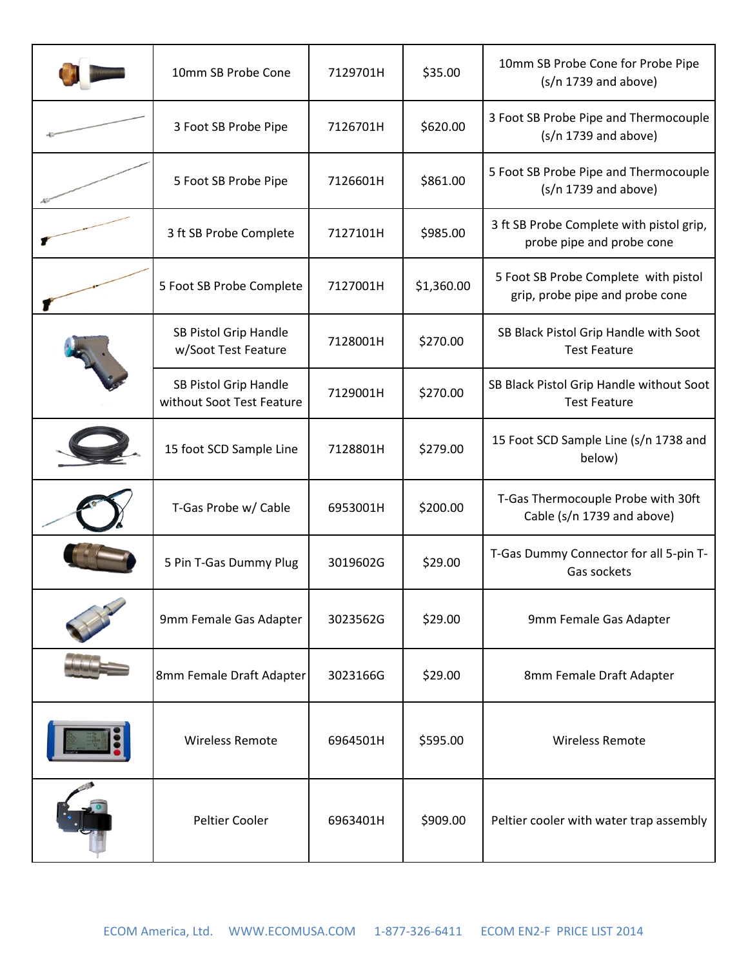| 10mm SB Probe Cone                                 | 7129701H | \$35.00    | 10mm SB Probe Cone for Probe Pipe<br>$(s/n 1739$ and above)             |
|----------------------------------------------------|----------|------------|-------------------------------------------------------------------------|
| 3 Foot SB Probe Pipe                               | 7126701H | \$620.00   | 3 Foot SB Probe Pipe and Thermocouple<br>$(s/n 1739$ and above)         |
| 5 Foot SB Probe Pipe                               | 7126601H | \$861.00   | 5 Foot SB Probe Pipe and Thermocouple<br>$(s/n 1739$ and above)         |
| 3 ft SB Probe Complete                             | 7127101H | \$985.00   | 3 ft SB Probe Complete with pistol grip,<br>probe pipe and probe cone   |
| 5 Foot SB Probe Complete                           | 7127001H | \$1,360.00 | 5 Foot SB Probe Complete with pistol<br>grip, probe pipe and probe cone |
| SB Pistol Grip Handle<br>w/Soot Test Feature       | 7128001H | \$270.00   | SB Black Pistol Grip Handle with Soot<br><b>Test Feature</b>            |
| SB Pistol Grip Handle<br>without Soot Test Feature | 7129001H | \$270.00   | SB Black Pistol Grip Handle without Soot<br><b>Test Feature</b>         |
| 15 foot SCD Sample Line                            | 7128801H | \$279.00   | 15 Foot SCD Sample Line (s/n 1738 and<br>below)                         |
| T-Gas Probe w/ Cable                               | 6953001H | \$200.00   | T-Gas Thermocouple Probe with 30ft<br>Cable (s/n 1739 and above)        |
| 5 Pin T-Gas Dummy Plug                             | 3019602G | \$29.00    | T-Gas Dummy Connector for all 5-pin T-<br>Gas sockets                   |
| 9mm Female Gas Adapter                             | 3023562G | \$29.00    | 9mm Female Gas Adapter                                                  |
| 8mm Female Draft Adapter                           | 3023166G | \$29.00    | 8mm Female Draft Adapter                                                |
| <b>Wireless Remote</b>                             | 6964501H | \$595.00   | <b>Wireless Remote</b>                                                  |
| Peltier Cooler                                     | 6963401H | \$909.00   | Peltier cooler with water trap assembly                                 |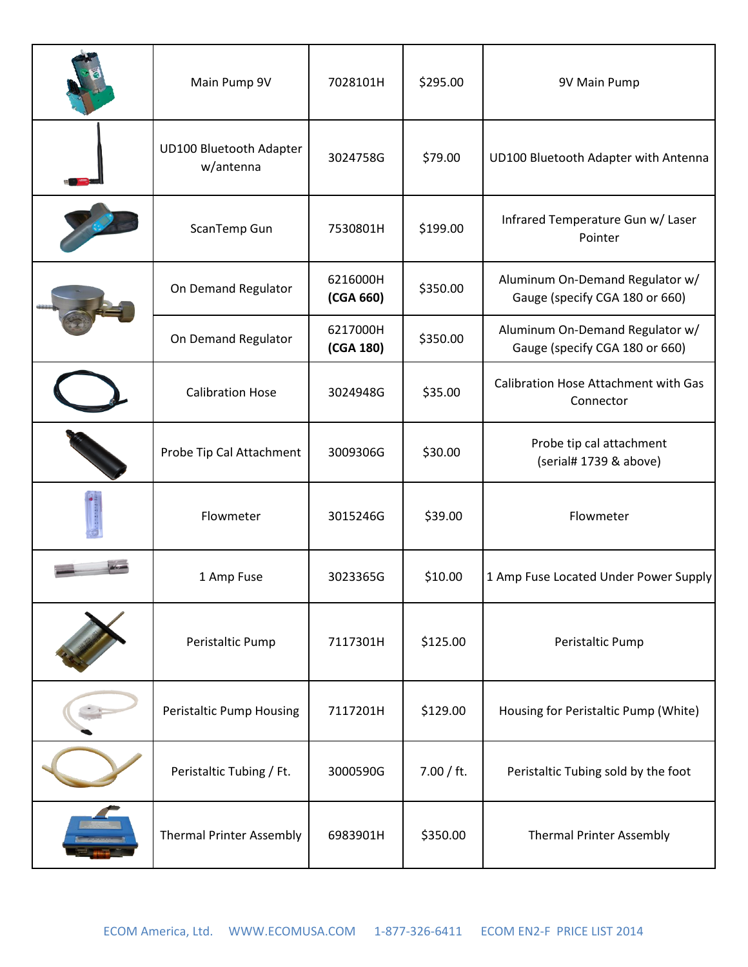| Main Pump 9V                         | 7028101H              | \$295.00   | 9V Main Pump                                                      |
|--------------------------------------|-----------------------|------------|-------------------------------------------------------------------|
| UD100 Bluetooth Adapter<br>w/antenna | 3024758G              | \$79.00    | UD100 Bluetooth Adapter with Antenna                              |
| ScanTemp Gun                         | 7530801H              | \$199.00   | Infrared Temperature Gun w/ Laser<br>Pointer                      |
| On Demand Regulator                  | 6216000H<br>(CGA 660) | \$350.00   | Aluminum On-Demand Regulator w/<br>Gauge (specify CGA 180 or 660) |
| On Demand Regulator                  | 6217000H<br>(CGA 180) | \$350.00   | Aluminum On-Demand Regulator w/<br>Gauge (specify CGA 180 or 660) |
| <b>Calibration Hose</b>              | 3024948G              | \$35.00    | Calibration Hose Attachment with Gas<br>Connector                 |
| Probe Tip Cal Attachment             | 3009306G              | \$30.00    | Probe tip cal attachment<br>(serial# 1739 & above)                |
| Flowmeter                            | 3015246G              | \$39.00    | Flowmeter                                                         |
| 1 Amp Fuse                           | 3023365G              | \$10.00    | 1 Amp Fuse Located Under Power Supply                             |
| Peristaltic Pump                     | 7117301H              | \$125.00   | Peristaltic Pump                                                  |
| <b>Peristaltic Pump Housing</b>      | 7117201H              | \$129.00   | Housing for Peristaltic Pump (White)                              |
| Peristaltic Tubing / Ft.             | 3000590G              | 7.00 / ft. | Peristaltic Tubing sold by the foot                               |
| <b>Thermal Printer Assembly</b>      | 6983901H              | \$350.00   | <b>Thermal Printer Assembly</b>                                   |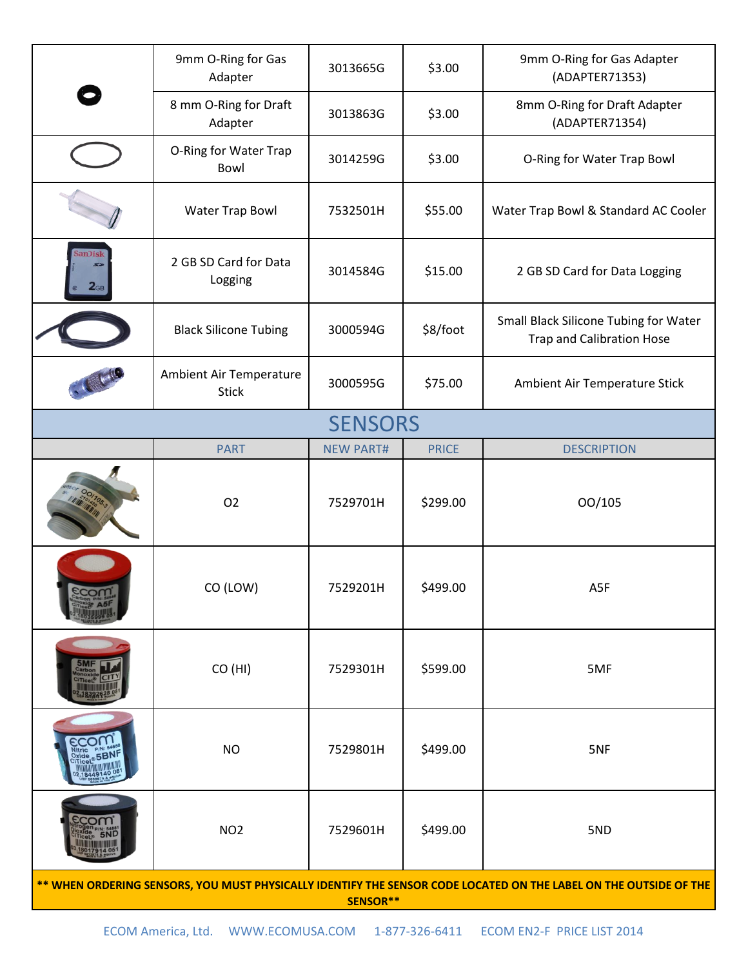|                                                                                                                               | 9mm O-Ring for Gas<br>Adapter           | 3013665G         | \$3.00       | 9mm O-Ring for Gas Adapter<br>(ADAPTER71353)                              |  |
|-------------------------------------------------------------------------------------------------------------------------------|-----------------------------------------|------------------|--------------|---------------------------------------------------------------------------|--|
|                                                                                                                               | 8 mm O-Ring for Draft<br>Adapter        | 3013863G         | \$3.00       | 8mm O-Ring for Draft Adapter<br>(ADAPTER71354)                            |  |
|                                                                                                                               | O-Ring for Water Trap<br>Bowl           | 3014259G         | \$3.00       | O-Ring for Water Trap Bowl                                                |  |
|                                                                                                                               | <b>Water Trap Bowl</b>                  | 7532501H         | \$55.00      | Water Trap Bowl & Standard AC Cooler                                      |  |
| anDisk<br>2 <sub>GB</sub>                                                                                                     | 2 GB SD Card for Data<br>Logging        | 3014584G         | \$15.00      | 2 GB SD Card for Data Logging                                             |  |
|                                                                                                                               | <b>Black Silicone Tubing</b>            | 3000594G         | \$8/foot     | Small Black Silicone Tubing for Water<br><b>Trap and Calibration Hose</b> |  |
|                                                                                                                               | Ambient Air Temperature<br><b>Stick</b> | 3000595G         | \$75.00      | Ambient Air Temperature Stick                                             |  |
| <b>SENSORS</b>                                                                                                                |                                         |                  |              |                                                                           |  |
|                                                                                                                               | <b>PART</b>                             | <b>NEW PART#</b> | <b>PRICE</b> | <b>DESCRIPTION</b>                                                        |  |
|                                                                                                                               | O <sub>2</sub>                          | 7529701H         | \$299.00     | 00/105                                                                    |  |
|                                                                                                                               | CO (LOW)                                | 7529201H         | \$499.00     | A5F                                                                       |  |
|                                                                                                                               | CO (HI)                                 | 7529301H         | \$599.00     | 5MF                                                                       |  |
|                                                                                                                               | <b>NO</b>                               | 7529801H         | \$499.00     | 5NF                                                                       |  |
|                                                                                                                               | NO <sub>2</sub>                         | 7529601H         | \$499.00     | 5ND                                                                       |  |
| ** WHEN ORDERING SENSORS, YOU MUST PHYSICALLY IDENTIFY THE SENSOR CODE LOCATED ON THE LABEL ON THE OUTSIDE OF THE<br>SENSOR** |                                         |                  |              |                                                                           |  |